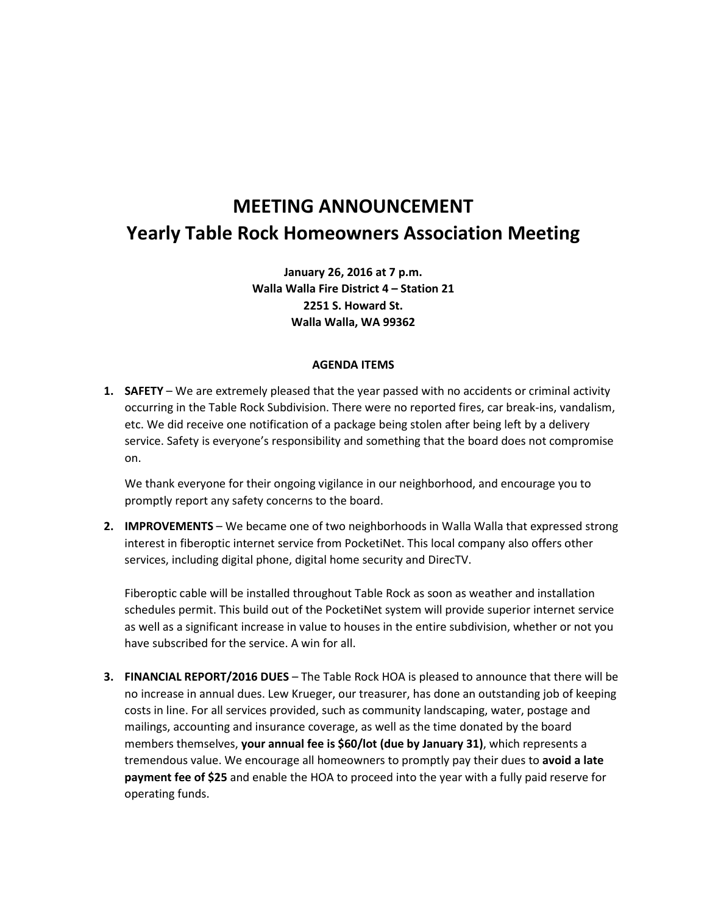## **MEETING ANNOUNCEMENT Yearly Table Rock Homeowners Association Meeting**

**January 26, 2016 at 7 p.m. Walla Walla Fire District 4 – Station 21 2251 S. Howard St. Walla Walla, WA 99362**

## **AGENDA ITEMS**

**1. SAFETY** – We are extremely pleased that the year passed with no accidents or criminal activity occurring in the Table Rock Subdivision. There were no reported fires, car break-ins, vandalism, etc. We did receive one notification of a package being stolen after being left by a delivery service. Safety is everyone's responsibility and something that the board does not compromise on.

We thank everyone for their ongoing vigilance in our neighborhood, and encourage you to promptly report any safety concerns to the board.

**2. IMPROVEMENTS** – We became one of two neighborhoods in Walla Walla that expressed strong interest in fiberoptic internet service from PocketiNet. This local company also offers other services, including digital phone, digital home security and DirecTV.

Fiberoptic cable will be installed throughout Table Rock as soon as weather and installation schedules permit. This build out of the PocketiNet system will provide superior internet service as well as a significant increase in value to houses in the entire subdivision, whether or not you have subscribed for the service. A win for all.

**3. FINANCIAL REPORT/2016 DUES** – The Table Rock HOA is pleased to announce that there will be no increase in annual dues. Lew Krueger, our treasurer, has done an outstanding job of keeping costs in line. For all services provided, such as community landscaping, water, postage and mailings, accounting and insurance coverage, as well as the time donated by the board members themselves, **your annual fee is \$60/lot (due by January 31)**, which represents a tremendous value. We encourage all homeowners to promptly pay their dues to **avoid a late payment fee of \$25** and enable the HOA to proceed into the year with a fully paid reserve for operating funds.